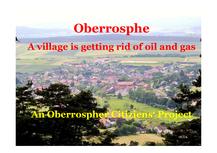# **Oberrosphe**

# **A village is getting rid of oil and gas**

**Citiziens' Project**

## **An Oberrospher**

1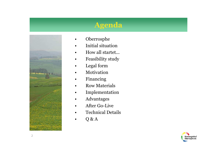#### **Agenda**



- •Oberrosphe
- •Initial situation
- •How all startet...
- $\bullet$ Feasibility study
- •Legal form
- •Motivation
- •Financing
- •Row Materials
- $\bullet$ Implementation
- •Advantages
- •After Go-Live
- •Technical Details
- •Q & A

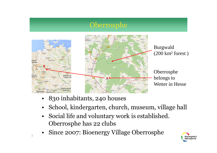#### Oberrosphe



Burgwald(200 km² forest )

Oberrosphe belongs toWetter in Hesse

- •830 inhabitants, 240 houses
- •School, kindergarten, church, museum, village hall
- $\bullet$  Social life and voluntary work is established. Oberrosphe has 22 clubs
- $\bullet$ Since 2007: Bioenergy Village Oberrosphe

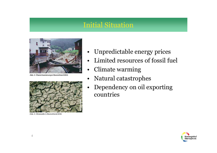#### Initial Situation



Abb. 2: Überschwemmungen Deutschland 2006



Abb. 3: Hitzewelle in Deutschland 2006

- $\bullet$ Unpredictable energy prices
- •Limited resources of fossil fuel
- •Climate warming
- $\bullet$ Natural catastrophes
- • Dependency on oil exporting countries

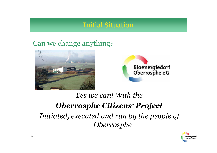#### Initial Situation

### Can we change anything?





## *Yes we can! With the Oberrosphe Citizens' ProjectInitiated, executed and run by the people of Oberrosphe*

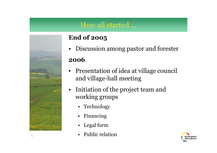# How all started ...



#### **End of <sup>2005</sup>**

 $\bullet$ Discussion among pastor and forester

#### **2006**

- • Presentation of idea at village council and village-hall meeting
- $\bullet$  Initiation of the project team and working groups
	- Technology
	- $\bullet$ Financing
	- Legal form
	- Public relation

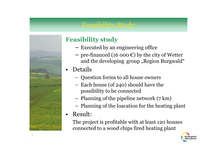### Feasibility Study



#### **Feasibility study** −

- Executed by an engineering office
- $\begin{array}{c} \text{-} \text{ pre-financed (16 000 }\text{\textdegreeled{\textsterling}}) \text{ by the city of Wetter} \ \text{and the developing group. Region Buravald} \end{array}$ and the developing group "Region Burgwald"
- • Details
	- –Question forms to all house owners
	- –Each house (of 240) should have the<br>nossibility to be connected possibility to be connected
	- –Planning of the pipeline network (7 km)
	- –Planning of the loacation for the heating <sup>p</sup>lant
- •Result:

The project is profitable with at least 120 houses connected to a wood chips fired heating <sup>p</sup>lant

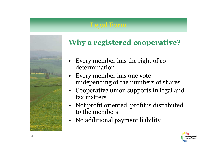### Legal Form



### **Why a registered cooperative?**

- • Every member has the right of codetermination
- Every member has one vote<br>undepending of the numbers •undepending of the numbers of shares
- Cooperative union supports in legal and •tax matters
- • Not profit oriented, profit is distributed to the members
- $\bullet$ No additional payment liability

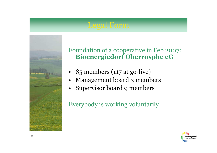### Legal Form



Foundation of a cooperative in Feb 2007: **Bioenergiedorf Oberrosphe eG**

- •85 members (117 at go-live)
- •Management board 3 members
- •Supervisor board 9 members

Everybody is working voluntarily

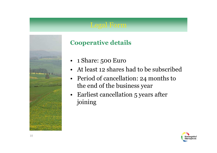#### Legal Form



#### **Cooperative details**

- •1 Share: 500 Euro
- •At least 12 shares had to be subscribed
- •Period of cancellation: 24 months to<br>the end of the business year the end of the business year
- •Earliest cancellation 5 years after<br>ioining joining

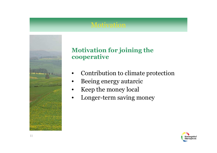

#### **Motivation for joining the cooperative**

- •Contribution to climate protection
- •Beeing energy autarcic
- $\bullet$ Keep the money local
- $\bullet$ Longer-term saving money

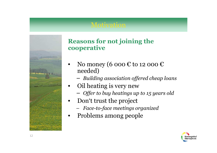

#### **Reasons for not joining the cooperative**

- •No money (6 000 € to 12 000 € needed)
	- *Building association offered cheap loans*
- •Oil heating is very new
	- *Offer to buy heatings up to 15 years old*
- •Don't trust the project
	- *Face-to-face meetings organized*
- •Problems among people

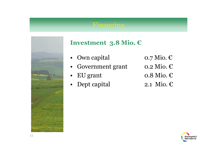#### Financing



#### **Investment 3.8 Mio. €**

- $\bullet$
- Own capital  $0.7$  Mio.  $\epsilon$ <br>Government grant  $0.2$  Mio.  $\epsilon$ • Government grant  $\qquad \qquad 0.2 \text{ Mio.} \ \epsilon$
- $\bullet$
- EU grant 0.8 Mio.  $\epsilon$ <br>Dept capital 2.1 Mio.  $\epsilon$ •Dept capital 2.1 Mio.  $\epsilon$
- 
- 
- -

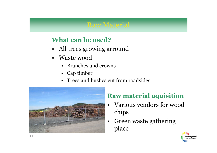# Raw Material

#### **What can be used?**

- •All trees growing arround
- •Waste wood
	- Branches and crowns<br>Can timber
	- Cap timber
	- Trees and bushes cut from roadsides



## **Raw material aquisition**

- $\bullet$  Various vendors for wood chips
- $\bullet$  Green waste gathering place

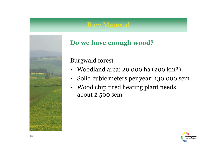# Raw Material



#### **Do we have enoug<sup>h</sup> wood?**

Burgwald forest

- •Woodland area: 20 000 ha (200 km²)
- $\bullet$ Solid cubic meters per year: 130 000 scm
- • Wood chip fired heating <sup>p</sup>lant needs about 2 500 scm

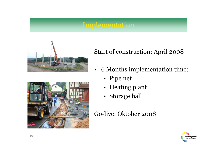



#### Start of construction: April 2008

- • 6 Months implementation time:
	- Pipe net
	- •Heating plant
	- •Storage hall

#### Go-live: Oktober 2008

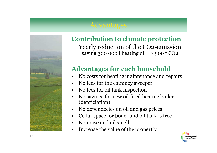

# **Contribution to climate protection**

Yearly reduction of the CO2-emission saving 300 000 l heating oil => 900 t  $CO<sub>2</sub>$ 

#### **Advantages for each household**

- •No costs for heating maintenance and repairs
- •No fees for the chimney sweeper
- •No fees for oil tank inspection
- • No savings for new oil fired heating boiler (depriciation)
- •No dependecies on oil and gas prices
- •Cellar space for boiler and oil tank is free
- •No noise and oil smell
- •Increase the value of the propertiy

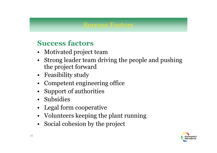#### Success Factors

### **Success factors**

- •Motivated project team
- •Strong leader team driving the people and pushing<br>the project forward the project forward
- •Feasibility study<br>Compatent engine
- •Competent engineering office<br>Support of outborities
- •Support of authorities
- •Subsidies
- •Legal form cooperative<br>Velupteers keeping the
- •Volunteers keeping the plant running<br>Social cohosion by the project
- •Social cohesion by the project

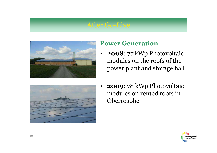#### After Go-Live





#### **Power Generation**

- • **<sup>2008</sup>**: 77 kWp Photovoltaic modules on the roofs of the power plant and storage hall
- • **<sup>2009</sup>**: 78 kWp Photovoltaic modules on rented roofs in Oberrosphe

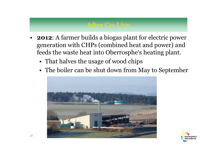#### After Go-Live

- • **<sup>2012</sup>**: A farmer builds a biogas <sup>p</sup>lant for electric power generation with CHPs (combined heat and power) and feeds the waste heat into Oberrosphe's heating <sup>p</sup>lant.
	- •That halves the usage of wood chips<br>The hollow sex he short down from N
	- •The boiler can be shut down from May to September



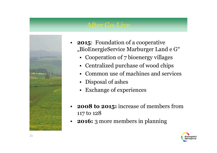#### After Go-Live



- • **<sup>2015</sup>**: Foundation of a cooperative "BioEnergieService Marburger Land e G"
	- Cooperation of 7 bioenergy villages
	- Centralized purchase of wood chips
	- •Common use of machines and services
	- Disposal of ashes
	- Exchange of experiences
- $\bullet$  **2008 to 2015:** increase of members from 117 to <sup>128</sup>
- $\bullet$ **2016:** 3 more members in planning

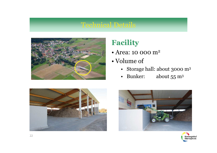

### **Facility**

- Area: 10 000 m<sup>2</sup><br>Nelson of
- •Volume of
	- Storage hall: about 3000 m<sup>3</sup>
	- Bunker: about  $55 \text{ m}^3$





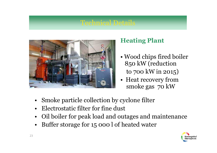

#### **Heating Plant**

- •Wood chips fired boiler<br>850 kW (reduction 850 kW (reduction to 700 kW in 2015)
- •Heat recovery from<br>smoke gas 70 kW smoke gas 70 kW
- •Smoke particle collection by cyclone filter
- •Electrostatic filter for fine dust
- •Oil boiler for peak load and outages and maintenance
- •Buffer storage for 15 000 l of heated water

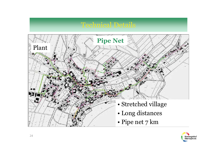

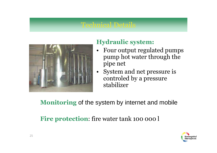

#### **Hydraulic system:**

- • Four output regulated pumps pump hot water through the <sup>p</sup>ipe net
- •System and net pressure is<br>controled by a pressure controled by a pressure stabilizer

**Monitoring** of the system by internet and mobile

**Fire protection:** fire water tank 100 000 l

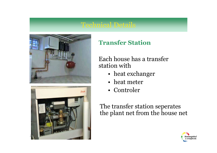



#### **Transfer Station**

Each house has a transfer station with

- •heat exchanger<br>heat motor
- •heat meter<br>Controlor
- •Controler

The transfer station seperates the <sup>p</sup>lant net from the house net

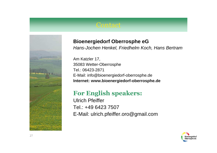

#### **Bioenergiedorf Oberrosphe eG**

Hans-Jochen Henkel, Friedhelm Koch, Hans Bertram

Am Katzler 17, 35083 Wetter-OberrospheTel.: 06423-2871 E-Mail: info@bioenergiedorf-oberrosphe.de**Internet: www.bioenergiedorf-oberrosphe.de**

#### **For English speakers:**

Ulrich PfeifferTel.: +49 6423 7507E-Mail: ulrich.pfeiffer.oro@gmail.com